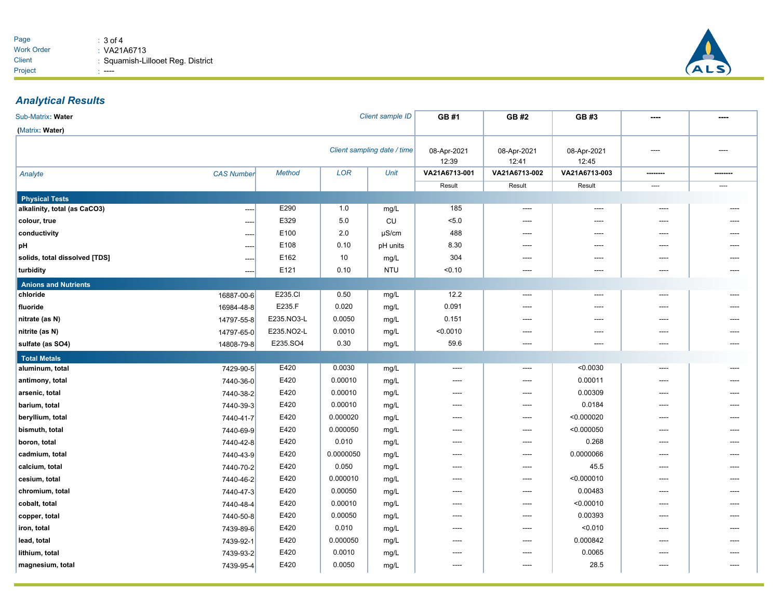

## *Analytical Results*

| Client sample ID<br>Sub-Matrix: Water |                   |               |            |                      | GB #1                | GB #2                | GB #3         |          |          |
|---------------------------------------|-------------------|---------------|------------|----------------------|----------------------|----------------------|---------------|----------|----------|
| (Matrix: Water)                       |                   |               |            |                      |                      |                      |               |          |          |
| Client sampling date / time           |                   |               |            | 08-Apr-2021<br>12:39 | 08-Apr-2021<br>12:41 | 08-Apr-2021<br>12:45 | ----          | ----     |          |
| Analyte                               | <b>CAS Number</b> | <b>Method</b> | <b>LOR</b> | Unit                 | VA21A6713-001        | VA21A6713-002        | VA21A6713-003 | -------- | -------- |
|                                       |                   |               |            |                      | Result               | Result               | Result        | ----     | ----     |
| <b>Physical Tests</b>                 |                   |               |            |                      |                      |                      |               |          |          |
| alkalinity, total (as CaCO3)          | ----              | E290          | 1.0        | mg/L                 | 185                  | ----                 | ----          | ----     |          |
| colour, true                          | ---               | E329          | 5.0        | CU                   | 5.0                  | ----                 | $---$         | ----     |          |
| conductivity                          |                   | E100          | 2.0        | $\mu$ S/cm           | 488                  | ----                 | ----          | ----     |          |
| рH                                    | ----              | E108          | 0.10       | pH units             | 8.30                 |                      | ----          | ----     |          |
| solids, total dissolved [TDS]         | ----              | E162          | 10         | mg/L                 | 304                  | ----                 | ----          | ----     |          |
| turbidity                             | ----              | E121          | 0.10       | <b>NTU</b>           | < 0.10               | ----                 | ----          | ----     |          |
| <b>Anions and Nutrients</b>           |                   |               |            |                      |                      |                      |               |          |          |
| chloride                              | 16887-00-6        | E235.CI       | 0.50       | mg/L                 | 12.2                 | $---$                | $---$         | ----     |          |
| fluoride                              | 16984-48-8        | E235.F        | 0.020      | mg/L                 | 0.091                | ----                 | ----          | ----     |          |
| nitrate (as N)                        | 14797-55-8        | E235.NO3-L    | 0.0050     | mg/L                 | 0.151                | ----                 | ----          | ----     |          |
| nitrite (as N)                        | 14797-65-0        | E235.NO2-L    | 0.0010     | mg/L                 | < 0.0010             | ----                 | $---$         | ----     |          |
| sulfate (as SO4)                      | 14808-79-8        | E235.SO4      | 0.30       | mg/L                 | 59.6                 | ----                 | $---$         | ----     | ----     |
| <b>Total Metals</b>                   |                   |               |            |                      |                      |                      |               |          |          |
| aluminum, total                       | 7429-90-5         | E420          | 0.0030     | mg/L                 | ----                 | $---$                | < 0.0030      | $---$    |          |
| antimony, total                       | 7440-36-0         | E420          | 0.00010    | mg/L                 | ----                 | ----                 | 0.00011       | ----     |          |
| arsenic, total                        | 7440-38-2         | E420          | 0.00010    | mg/L                 | $---$                | ----                 | 0.00309       | ----     | ----     |
| barium, total                         | 7440-39-3         | E420          | 0.00010    | mg/L                 | ----                 | ----                 | 0.0184        | ----     |          |
| beryllium, total                      | 7440-41-7         | E420          | 0.000020   | mg/L                 | ----                 | ----                 | < 0.000020    | ----     | ----     |
| bismuth, total                        | 7440-69-9         | E420          | 0.000050   | mg/L                 | ----                 | ----                 | < 0.000050    | ----     |          |
| boron, total                          | 7440-42-8         | E420          | 0.010      | mg/L                 | ----                 | ----                 | 0.268         | ----     |          |
| cadmium, total                        | 7440-43-9         | E420          | 0.0000050  | mg/L                 | ----                 | ----                 | 0.0000066     | ----     |          |
| calcium, total                        | 7440-70-2         | E420          | 0.050      | mg/L                 | ----                 | ----                 | 45.5          | ----     |          |
| cesium, total                         | 7440-46-2         | E420          | 0.000010   | mg/L                 | ----                 | ----                 | < 0.000010    | ----     | ----     |
| chromium, total                       | 7440-47-3         | E420          | 0.00050    | mg/L                 | ----                 | ----                 | 0.00483       | ----     |          |
| cobalt, total                         | 7440-48-4         | E420          | 0.00010    | mg/L                 | $---$                | ----                 | < 0.00010     | ----     | ----     |
| copper, total                         | 7440-50-8         | E420          | 0.00050    | mg/L                 | ----                 | ----                 | 0.00393       | ----     | ----     |
| iron, total                           | 7439-89-6         | E420          | 0.010      | mg/L                 | ----                 | ----                 | < 0.010       | ----     | ----     |
| lead, total                           | 7439-92-1         | E420          | 0.000050   | mg/L                 | ----                 | ----                 | 0.000842      | ----     |          |
| lithium, total                        | 7439-93-2         | E420          | 0.0010     | mg/L                 | ----                 | ----                 | 0.0065        | ----     | ----     |
| magnesium, total                      | 7439-95-4         | E420          | 0.0050     | mg/L                 | ----                 | ----                 | 28.5          | ----     | ----     |